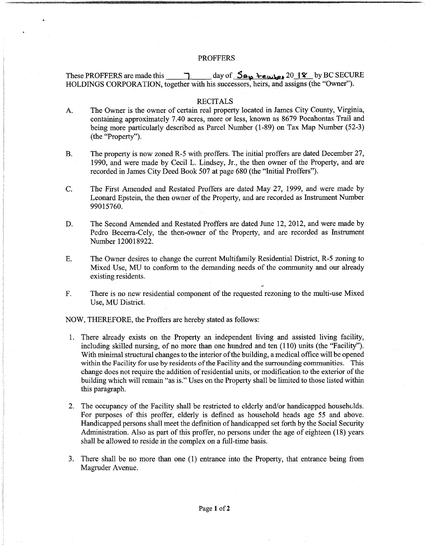## PROFFERS

These PROFFERS are made this  $\vec{J}$  day of  $\vec{S}_{\alpha_{\mathbf{Q}}}$  **Lember** 20 **I**  $\hat{\mathbf{Y}}$  by BC SECURE HOLDINGS CORPORATION, together with his successors, heirs, and assigns (the "Owner"). <u>ግ</u>

## RECITALS

- The Owner is the owner of certain real property located in James City County, Virginia, containing approximately 7.40 acres, more or less, known as 8679 Pocahontas Trail and being more particularly described as Parcel Number (1-89) on Tax Map Number (52-3) (the "Property"). A.
- The property is now zoned R-5 with proffers. The initial proffers are dated December 27, 1990, and were made by Cecil L. Lindsey, Jr., the then owner of the Property, and are recorded in James City Deed Book 507 at page 680 (the "Initial Proffers"). B.
- The First Amended and Restated Proffers are dated May 27, 1999, and were made by Leonard Epstein, the then owner of the Property, and are recorded as Instrument Number 99015760. C.
- The Second Amended and Restated Proffers are dated June 12, 2012, and were made by Pedro Becerra-Cely, the then-owner of the Property, and are recorded as Instrument Number 120018922. D.
- The Owner desires to change the current Multifamily Residential District, R-5 zoning to Mixed Use, MU to conform to the demanding needs of the community and our already existing residents. E.
- There is no new residential component of the requested rezoning to the multi-use Mixed Use, MU District. F.

NOW, THEREFORE, the Proffers are hereby stated as follows:

- There already exists on the Property an independent living and assisted living facility, 1. including skilled nursing, of no more than one hundred and ten (110) units (the "Facility"). With minimal structural changes to the interior of the building, a medical office will be opened within the Facility for use by residents of the Facility and the surrounding communities. This change does not require the addition ofresidential units, or modification to the exterior ofthe building which will remain "as is." Uses on the Property shall be limited to those listed within this paragraph.
- 2. The occupancy of the Facility shall be restricted to elderly and/or handicapped households. For purposes of this proffer, elderly is defined as household heads age 55 and above. Handicapped persons shall meet the definition ofhandicapped set forth by the Social Security Administration. Also as part of this proffer, no persons under the age of eighteen (18) years shall be allowed to reside in the complex on a full-time basis.
- There shall be no more than one (1) entrance into the Property, that entrance being from 3. Magruder Avenue.